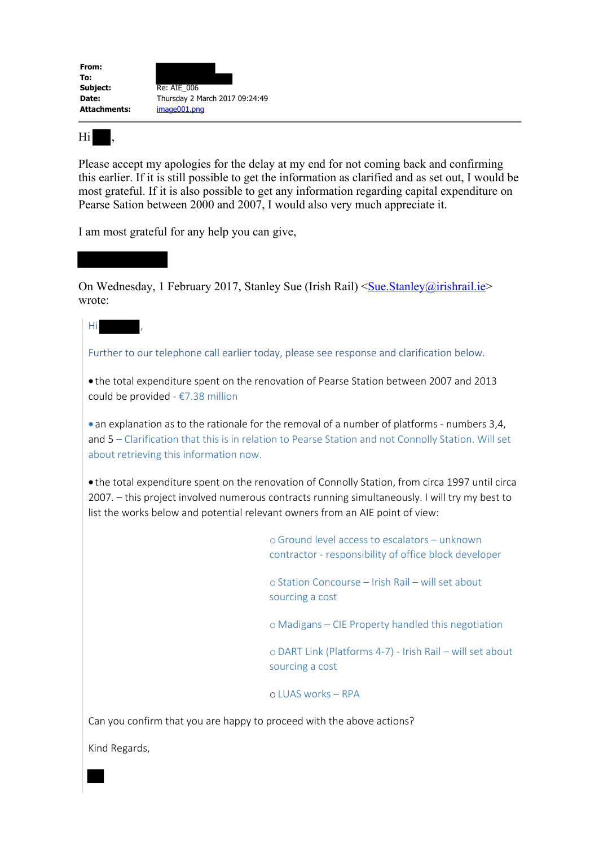

Hi ,

Hi ,

Please accept my apologies for the delay at my end for not coming back and confirming this earlier. If it is still possible to get the information as clarified and as set out, I would be most grateful. If it is also possible to get any information regarding capital expenditure on Pearse Sation between 2000 and 2007, I would also very much appreciate it.

I am most grateful for any help you can give,

On Wednesday, 1 February 2017, Stanley Sue (Irish Rail) <Sue.Stanley@irishrail.ie> wrote:

Further to our telephone call earlier today, please see response and clarification below.

· the total expenditure spent on the renovation of Pearse Station between 2007 and 2013 could be provided - €7.38 million

• an explanation as to the rationale for the removal of a number of platforms - numbers 3,4, and 5 – Clarification that this is in relation to Pearse Station and not Connolly Station. Will set about retrieving this information now.

· the total expenditure spent on the renovation of Connolly Station, from circa 1997 until circa 2007. – this project involved numerous contracts running simultaneously. I will try my best to list the works below and potential relevant owners from an AIE point of view:

> oGround level access to escalators – unknown contractor - responsibility of office block developer

oStation Concourse – Irish Rail – will set about sourcing a cost

o Madigans – CIE Property handled this negotiation

oDART Link (Platforms 4-7) - Irish Rail – will set about sourcing a cost

oLUAS works – RPA

Can you confirm that you are happy to proceed with the above actions?

Kind Regards,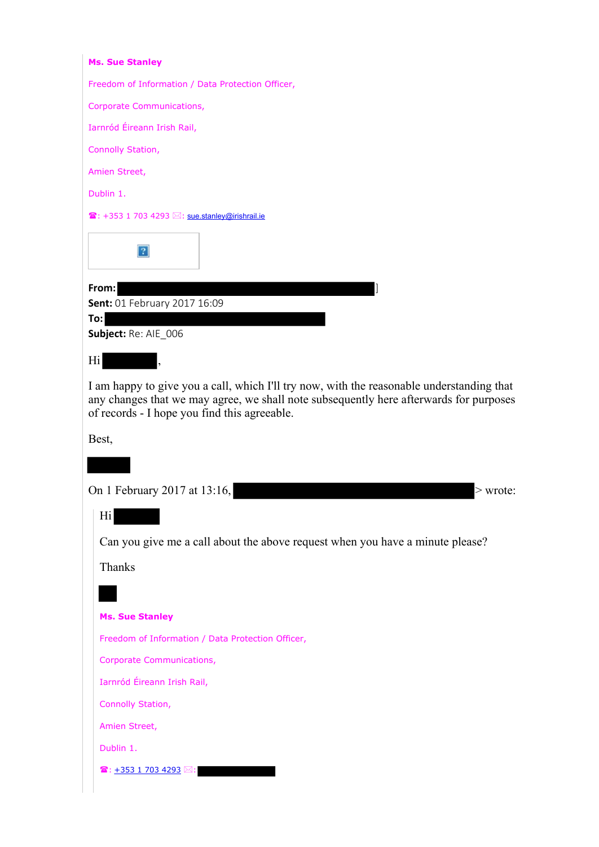| <b>Ms. Sue Stanley</b>                                                                                                                                                                                                              |                                                                               |  |
|-------------------------------------------------------------------------------------------------------------------------------------------------------------------------------------------------------------------------------------|-------------------------------------------------------------------------------|--|
|                                                                                                                                                                                                                                     | Freedom of Information / Data Protection Officer,                             |  |
|                                                                                                                                                                                                                                     | <b>Corporate Communications,</b>                                              |  |
|                                                                                                                                                                                                                                     | Iarnród Éireann Irish Rail,                                                   |  |
|                                                                                                                                                                                                                                     | Connolly Station,                                                             |  |
|                                                                                                                                                                                                                                     | Amien Street,                                                                 |  |
|                                                                                                                                                                                                                                     | Dublin 1.                                                                     |  |
|                                                                                                                                                                                                                                     | $\mathbf{B}: +353$ 1 703 4293 $\boxtimes:$ sue stanley@irishrail.ie           |  |
|                                                                                                                                                                                                                                     | 2                                                                             |  |
|                                                                                                                                                                                                                                     | From:                                                                         |  |
|                                                                                                                                                                                                                                     | Sent: 01 February 2017 16:09<br>To:                                           |  |
|                                                                                                                                                                                                                                     | Subject: Re: AIE_006                                                          |  |
|                                                                                                                                                                                                                                     | Hi<br>$\overline{\phantom{a}}$                                                |  |
| I am happy to give you a call, which I'll try now, with the reasonable understanding that<br>any changes that we may agree, we shall note subsequently here afterwards for purposes<br>of records - I hope you find this agreeable. |                                                                               |  |
|                                                                                                                                                                                                                                     | Best,                                                                         |  |
|                                                                                                                                                                                                                                     |                                                                               |  |
|                                                                                                                                                                                                                                     | On 1 February 2017 at 13:16,<br>> wrote:                                      |  |
|                                                                                                                                                                                                                                     |                                                                               |  |
|                                                                                                                                                                                                                                     | Hi                                                                            |  |
|                                                                                                                                                                                                                                     | Can you give me a call about the above request when you have a minute please? |  |
|                                                                                                                                                                                                                                     | <b>Thanks</b>                                                                 |  |
|                                                                                                                                                                                                                                     |                                                                               |  |
|                                                                                                                                                                                                                                     | <b>Ms. Sue Stanley</b>                                                        |  |
|                                                                                                                                                                                                                                     | Freedom of Information / Data Protection Officer,                             |  |
|                                                                                                                                                                                                                                     | <b>Corporate Communications,</b>                                              |  |
|                                                                                                                                                                                                                                     | Iarnród Éireann Irish Rail,                                                   |  |
|                                                                                                                                                                                                                                     | Connolly Station,                                                             |  |
|                                                                                                                                                                                                                                     | Amien Street,                                                                 |  |
|                                                                                                                                                                                                                                     | Dublin 1.                                                                     |  |
|                                                                                                                                                                                                                                     | $\mathbf{\widehat{a}}$ : $+353$ 1 703 4293 $\boxtimes$ :                      |  |
|                                                                                                                                                                                                                                     |                                                                               |  |